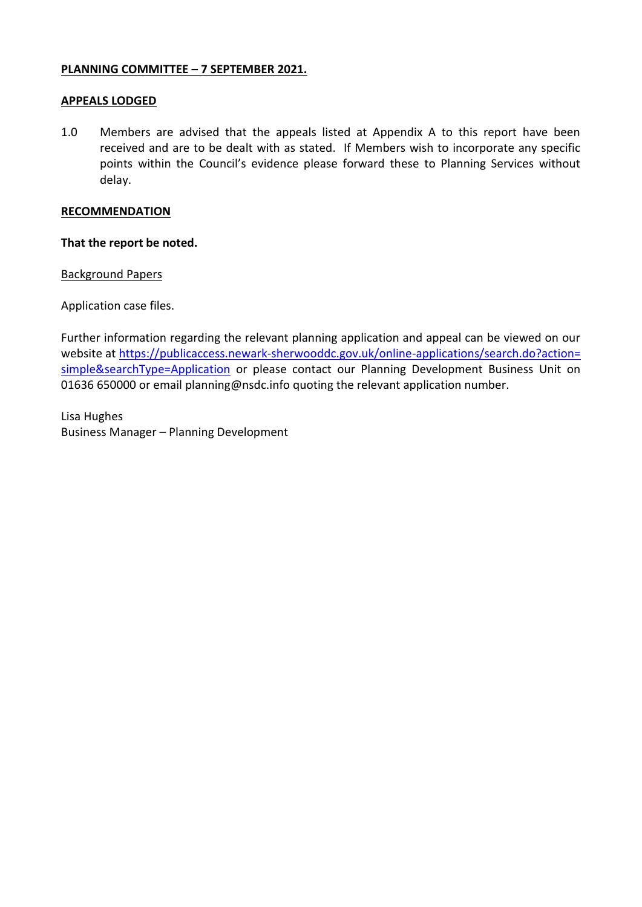## **PLANNING COMMITTEE – 7 SEPTEMBER 2021.**

## **APPEALS LODGED**

1.0 Members are advised that the appeals listed at Appendix A to this report have been received and are to be dealt with as stated. If Members wish to incorporate any specific points within the Council's evidence please forward these to Planning Services without delay.

## **RECOMMENDATION**

**That the report be noted.**

#### Background Papers

Application case files.

Further information regarding the relevant planning application and appeal can be viewed on our website at https://publicaccess.newark-sherwooddc.gov.uk/online-applications/search.do?action= [simple&searchType=Application](https://publicaccess.newark-sherwooddc.gov.uk/online-applications/search.do?action=%20simple&searchType=Application) or please contact our Planning Development Business Unit on 01636 650000 or email planning@nsdc.info quoting the relevant application number.

Lisa Hughes Business Manager – Planning Development